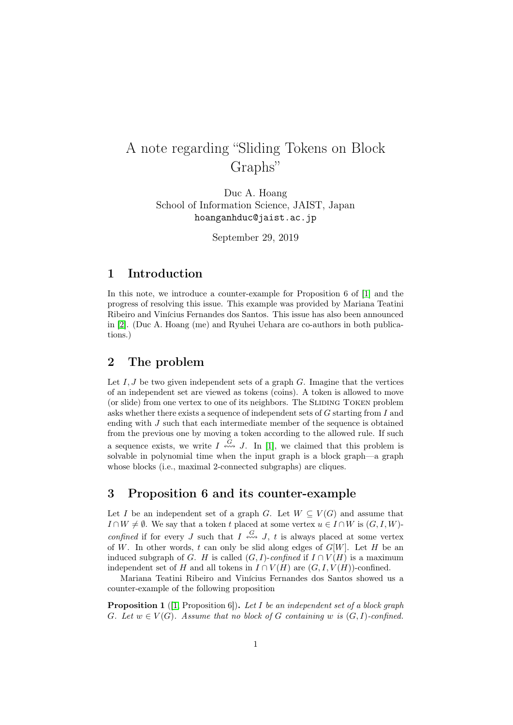# A note regarding "Sliding Tokens on Block Graphs"

Duc A. Hoang School of Information Science, JAIST, Japan hoanganhduc@jaist.ac.jp

September 29, 2019

### 1 Introduction

In this note, we introduce a counter-example for Proposition 6 of [\[1\]](#page-1-0) and the progress of resolving this issue. This example was provided by Mariana Teatini Ribeiro and Vinícius Fernandes dos Santos. This issue has also been announced in [\[2\]](#page-1-1). (Duc A. Hoang (me) and Ryuhei Uehara are co-authors in both publications.)

## 2 The problem

Let  $I, J$  be two given independent sets of a graph  $G$ . Imagine that the vertices of an independent set are viewed as tokens (coins). A token is allowed to move (or slide) from one vertex to one of its neighbors. The SLIDING TOKEN problem asks whether there exists a sequence of independent sets of G starting from I and ending with J such that each intermediate member of the sequence is obtained from the previous one by moving a token according to the allowed rule. If such a sequence exists, we write  $I \stackrel{G}{\longleftrightarrow} J$ . In [\[1\]](#page-1-0), we claimed that this problem is solvable in polynomial time when the input graph is a block graph—a graph whose blocks (i.e., maximal 2-connected subgraphs) are cliques.

### 3 Proposition 6 and its counter-example

Let I be an independent set of a graph G. Let  $W \subseteq V(G)$  and assume that  $I \cap W \neq \emptyset$ . We say that a token t placed at some vertex  $u \in I \cap W$  is  $(G, I, W)$ confined if for every J such that  $I \stackrel{G}{\iff} J$ , t is always placed at some vertex of W. In other words, t can only be slid along edges of  $G[W]$ . Let H be an induced subgraph of G. H is called  $(G, I)$ -confined if  $I \cap V(H)$  is a maximum independent set of H and all tokens in  $I \cap V(H)$  are  $(G, I, V(H))$ -confined.

Mariana Teatini Ribeiro and Vinícius Fernandes dos Santos showed us a counter-example of the following proposition

<span id="page-0-0"></span>**Proposition 1** ([\[1,](#page-1-0) Proposition 6]). Let I be an independent set of a block graph G. Let  $w \in V(G)$ . Assume that no block of G containing w is  $(G, I)$ -confined.